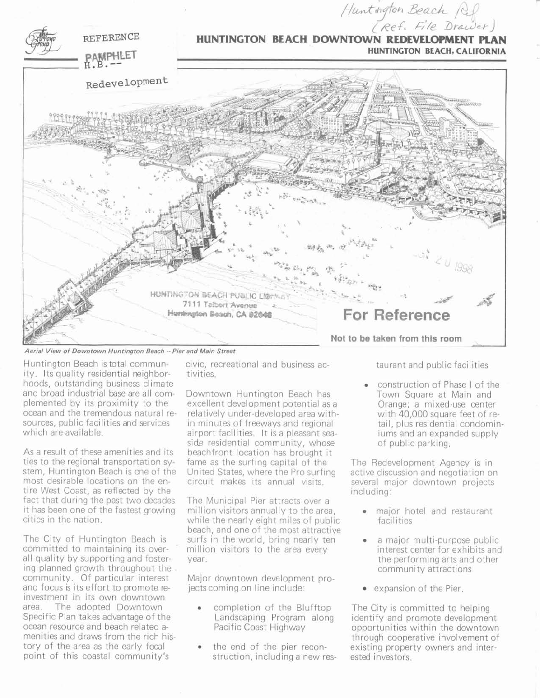

Huntington Beach is total community. Its quality residential neighborhoods, outstanding business climate and broad industrial base are all complemented by its proximity to the ocean and the tremendous natural resources, public facilities and services which are available.

As a result of these amenities and its ties to the regional transportation system, Huntington Beach is one of the most desirable locations on the entire West Coast, as reflected by the fact that during the past two decades it has been one of the fastest growing cities in the nation.

The City of Huntington Beach is committed to maintaining its overall quality by supporting and fostering planned growth throughout the community. Of particular interest and focus is its effort to promote reinvestment in its own downtown area. The adopted Downtown Specific Plan takes advantage of the ocean resource and beach related amenities and draws from the rich history of the area as the early focal point of this coastal community's

civic, recreational and business activities.

Downtown Huntington Beach has excellent development potential as a relatively under-developed area with. in minutes of freeways and regional airport facilities. It is a pleasant seaside residential community, whose beachfront location has brought it fame as the surfing capital of the United States, where the Pro surfing circuit makes its annual visits.

The Municipal Pier attracts over a million visitors annually to the area, while the nearly eight miles of public beach, and one of the most attractive surfs in the world, bring nearly ten million visitors to the area every year.

Major downtown development projects coming on line include:

- completion of the Blufftop Landscaping Program along Pacific Coast Highway
- the end of the pier reconstruction, including a new res-

taurant and public facilities

construction of Phase I of the Town Square at Main and Orange; a mixed-use center with 40,000 square feet of retail, plus residential condominiums and an expanded supply of public parking.

The Redevelopment Agency is in active discussion and negotiation on several major downtown projects including:

- major hotel and restaurant facilities
- a major multi-purpose public interest center for exhibits and the performing arts and other community attractions
- expansion of the Pier

The City is committed to helping identify and promote development opportunities within the downtown through cooperative involvement of existing property owners and interested investors.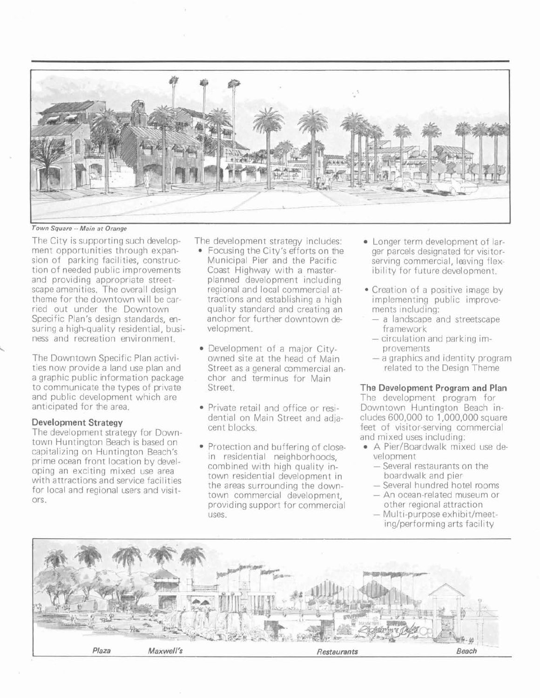

**Town Square** -- **Main at Orange** 

The City is supporting such development opportunities through expansion of parking facilities, construction of needed public improvements and providing appropriate streetscape amenities. The overall design theme for the downtown will be carried out under the Downtown Specific Plan's design standards, ensuring a high-quality residential, business and recreation environment.

The Downtown Specific Plan activities now provide a land use plan and a graphic public information package to communicate the types of private and public development which are anticipated for the area.

# **Development Strategy**

 $\ddot{\phantom{0}}$ 

The development strategy for Downtown Huntington Beach is based on capitalizing on Huntington Beach's prime ocean front location by developing an exciting mixed use area with attractions and service facilities for local and regional users and visitors.

The development strategy includes:

- Focusing the City's efforts on the Municipal Pier and the Pacific Coast Highway with a masterplanned development including regional and local commercial attractions and establishing a high quality standard and creating an anchor for further downtown development.
- Development of a major Cityowned site at the head of Main Street as a general commercial anchor and terminus for Main Street.
- Private retail and office or residential on Main Street and adjacent blocks.
- Protection and buffering of closein residential neighborhoods, combined with high quality intown residential development in the areas surrounding the downtown commercial development, providing support for commercial uses.
- Longer term development of larger parcels designated for visitorserving commercial, leaving flexibility for future development.
- Creation of a positive image by implementing public improvements including:
	- a landscape and streetscape framework
	- circulation and parking improvements
	- $-$  a graphics and identity program related to the Design Theme

# **The Development Program and Plan**

The development program for Downtown Huntington Beach includes 600,000 to 1,000,000 square feet of visitor-serving commercial and mixed uses including:

- A Pier/Boardwalk mixed use development
	- Several restaurants on the boardwalk and pier
	- boardwalk and pier<br>- Several hundred hotel rooms
	- Several hundred hotel rooms<br>- An ocean-related museum or other regional attraction
	- Multi-purpose exhibit/meeting/performing arts facility

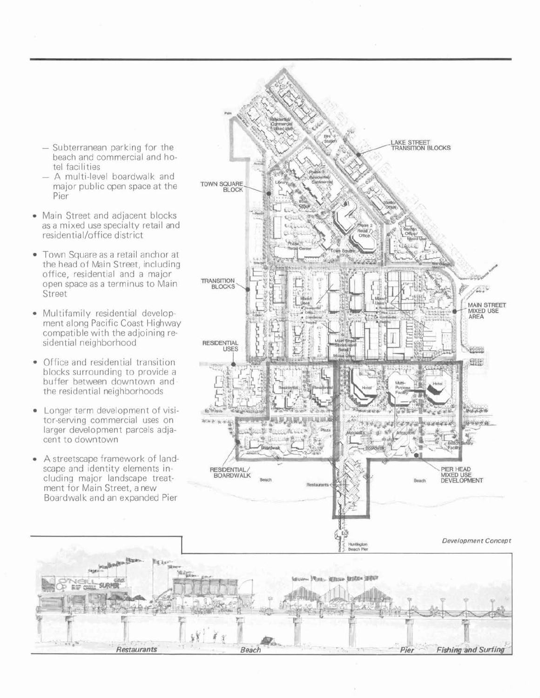- Subterranean parking for the beach and commercial and hotel facilities
- A multi-level boardwalk and major public open space at the Pier
- Main Street and adjacent blocks as a mixed use specialty retail and residential/office district
- Town Square as a retail anchor at the head of Main Street, including office, residential and a major open space as a terminus to Main Street
- Multifamily residential development along Pacific Coast Highway compatible with the adjoining residential neighborhood
- Office and residential transition  $\bullet$ blocks surrounding to provide a buffer between downtown and the residential neighborhoods
- Longer term development of visi- $\bullet$ tor-serving commercial uses on larger development parcels adjacent to downtown
- A streetscape framework of land- $\bullet$ scape and identity elements including major landscape treatment for Main Street, a new Boardwalk and an expanded Pier

W. Irai

 $\frac{1}{2}$   $\frac{1}{2}$   $\frac{1}{2}$   $\frac{1}{2}$   $\frac{1}{2}$   $\frac{1}{2}$   $\frac{1}{2}$   $\frac{1}{2}$   $\frac{1}{2}$   $\frac{1}{2}$   $\frac{1}{2}$   $\frac{1}{2}$   $\frac{1}{2}$   $\frac{1}{2}$   $\frac{1}{2}$   $\frac{1}{2}$   $\frac{1}{2}$   $\frac{1}{2}$   $\frac{1}{2}$   $\frac{1}{2}$   $\frac{1}{2}$   $\frac{1}{2}$  *a-* - <sup>I</sup>

 $\mathbb{R}$ .  $\mathbb{R}$  ,  $\mathbb{R}$ 

**Restaurants** *Beach* **<b>Beach**  *Pier Fishing and Surfing*